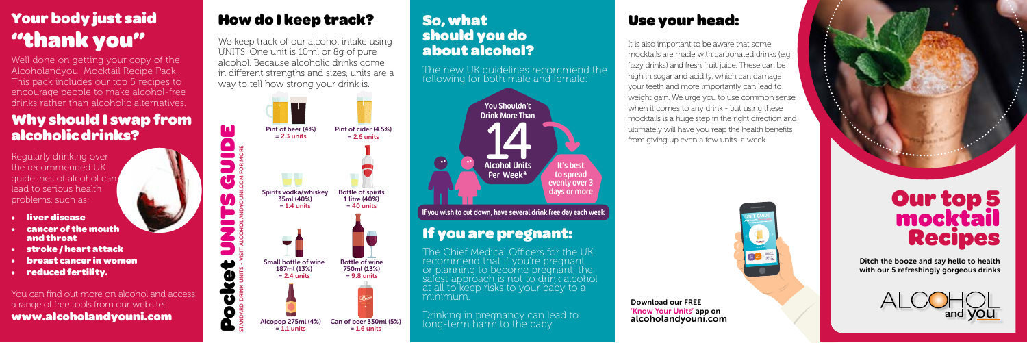

## Why should I swap from alcoholic drinks?

Regularly drinking over the recommended UK guidelines of alcohol can lead to serious health problems, such as:

- liver disease
- cancer of the mouth and throat
- stroke / heart attack
- breast cancer in women
- reduced fertility.

You can find out more on alcohol and access a range of free tools from our website: www.alcoholandyouni.com

# Your body just said "thank you"

Well done on getting your copy of the Alcoholandyou Mocktail Recipe Pack. This pack includes our top 5 recipes to encourage people to make alcohol-free drinks rather than alcoholic alternatives.

## So, what should you do about alcohol?

The new UK guidelines recommend the following for both male and female:

The Chief Medical Officers for the UK recommend that if you're pregnant or planning to become pregnant, the safest approach is not to drink alcohol at all to keep risks to your baby to a minimum.

Drinking in pregnancy can lead to long-term harm to the baby.

## If you are pregnant:

# Our top 5 mocktail Recipes

Ditch the booze and say hello to health with our 5 refreshingly gorgeous drinks



Pocket UNITS GUIDE

 $\overline{c}$ 

Ш

Download our FREE 'Know Your Units' app on alcoholandyouni.com







## Use your head:

It is also important to be aware that some mocktails are made with carbonated drinks (e.g. fizzy drinks) and fresh fruit juice. These can be high in sugar and acidity, which can damage your teeth and more importantly can lead to weight gain. We urge you to use common sense when it comes to any drink - but using these mocktails is a huge step in the right direction and ultimately will have you reap the health benefits from giving up even a few units a week.

# How do I keep track?

We keep track of our alcohol intake using UNITS. One unit is 10ml or 8g of pure alcohol. Because alcoholic drinks come in different strengths and sizes, units are a way to tell how strong your drink is.



If you wish to cut down, have several drink free day each week